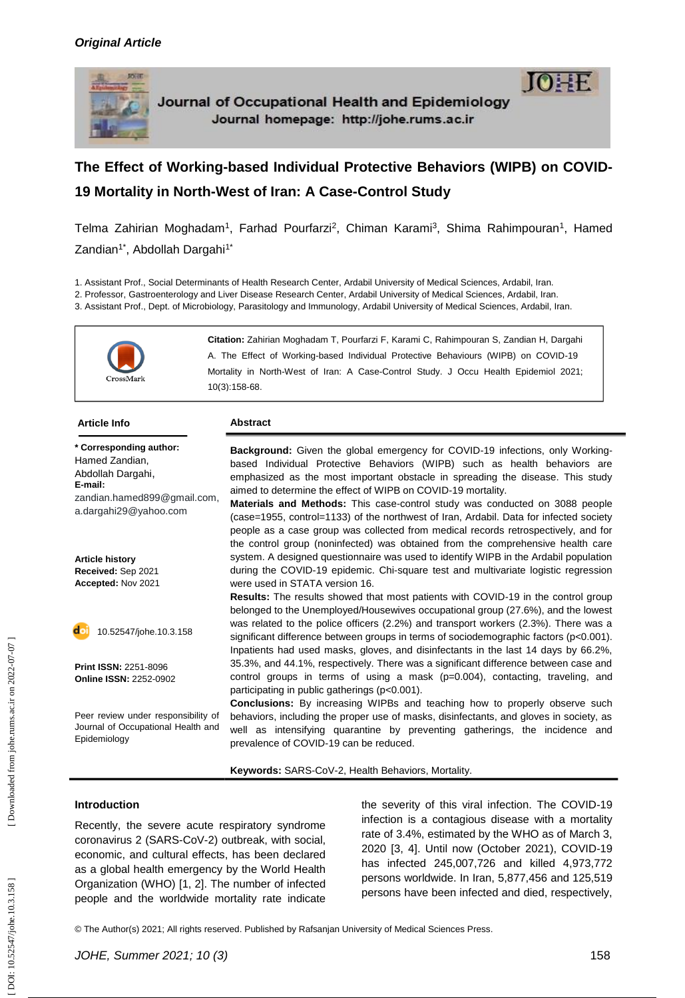

# The Effect of Working-based Individual Protective Behaviors (WIPB) on COVID-**19 Mortality in North -West of Iran: A Case -Control Study**

Telma Zahirian Moghadam<sup>1</sup>, Farhad Pourfarzi<sup>2</sup>, Chiman Karami<sup>3</sup>, Shima Rahimpouran<sup>1</sup>, Hamed Zandian<sup>1\*</sup>, Abdollah Dargahi<sup>1\*</sup>

1. Assistant Prof., Social Determinants of Health Research Center, Ardabil University of Medical Sciences, Ardabil, Iran.

2. Professor, Gastroenterology and Liver Disease Research Center, Ardabil University of Medical Sciences, Ardabil, Iran.

3. Assistant Prof., Dept. of Microbiology, Parasitology and Immunology, Ardabil University of Medical Sciences, Ardabil, Iran.



| <b>Article Info</b>                                                                                                               | <b>Abstract</b>                                                                                                                                                                                                                                                                                                                                                                                                                                                                                                                                                                                                                                                       |
|-----------------------------------------------------------------------------------------------------------------------------------|-----------------------------------------------------------------------------------------------------------------------------------------------------------------------------------------------------------------------------------------------------------------------------------------------------------------------------------------------------------------------------------------------------------------------------------------------------------------------------------------------------------------------------------------------------------------------------------------------------------------------------------------------------------------------|
| * Corresponding author:<br>Hamed Zandian,<br>Abdollah Dargahi,<br>E-mail:<br>zandian.hamed899@gmail.com,<br>a.dargahi29@yahoo.com | <b>Background:</b> Given the global emergency for COVID-19 infections, only Working-<br>based Individual Protective Behaviors (WIPB) such as health behaviors are<br>emphasized as the most important obstacle in spreading the disease. This study<br>aimed to determine the effect of WIPB on COVID-19 mortality.<br>Materials and Methods: This case-control study was conducted on 3088 people<br>(case=1955, control=1133) of the northwest of Iran, Ardabil. Data for infected society<br>people as a case group was collected from medical records retrospectively, and for<br>the control group (noninfected) was obtained from the comprehensive health care |
| <b>Article history</b><br>Received: Sep 2021<br>Accepted: Nov 2021                                                                | system. A designed questionnaire was used to identify WIPB in the Ardabil population<br>during the COVID-19 epidemic. Chi-square test and multivariate logistic regression<br>were used in STATA version 16.<br>Results: The results showed that most patients with COVID-19 in the control group                                                                                                                                                                                                                                                                                                                                                                     |
| 10.52547/johe.10.3.158                                                                                                            | belonged to the Unemployed/Housewives occupational group (27.6%), and the lowest<br>was related to the police officers (2.2%) and transport workers (2.3%). There was a<br>significant difference between groups in terms of sociodemographic factors (p<0.001).<br>Inpatients had used masks, gloves, and disinfectants in the last 14 days by 66.2%,                                                                                                                                                                                                                                                                                                                |
| <b>Print ISSN: 2251-8096</b><br><b>Online ISSN: 2252-0902</b>                                                                     | 35.3%, and 44.1%, respectively. There was a significant difference between case and<br>control groups in terms of using a mask $(p=0.004)$ , contacting, traveling, and<br>participating in public gatherings (p<0.001).                                                                                                                                                                                                                                                                                                                                                                                                                                              |
| Peer review under responsibility of<br>Journal of Occupational Health and<br>Epidemiology                                         | <b>Conclusions:</b> By increasing WIPBs and teaching how to properly observe such<br>behaviors, including the proper use of masks, disinfectants, and gloves in society, as<br>well as intensifying quarantine by preventing gatherings, the incidence and<br>prevalence of COVID-19 can be reduced.                                                                                                                                                                                                                                                                                                                                                                  |

Keywords: SARS-CoV-2, Health Behaviors, Mortality.

#### **Introduction**

Recently, the severe acute respiratory syndrome coronavirus 2 (SARS -CoV -2) outbreak, with social, economic, and cultural effects, has been declared as a global health emergency by the World Health Organization (WHO) [1, 2]. The number of infected people and the worldwide mortality rate indicate

the severity of this viral infection. The COVID -19 infection is a contagious disease with a mortality rate of 3.4%, estimated by the WHO as of March 3, 2020 [3, 4]. Until now (October 2021), COVID -19 has infected 245,007,726 and killed 4,973,772 persons worldwide. In Iran, 5,877,456 and 125,519 persons have been infected and died, respectively,

© The Author(s) 2021; All rights reserved. Published by Rafsanjan University of Medical Sciences Press.

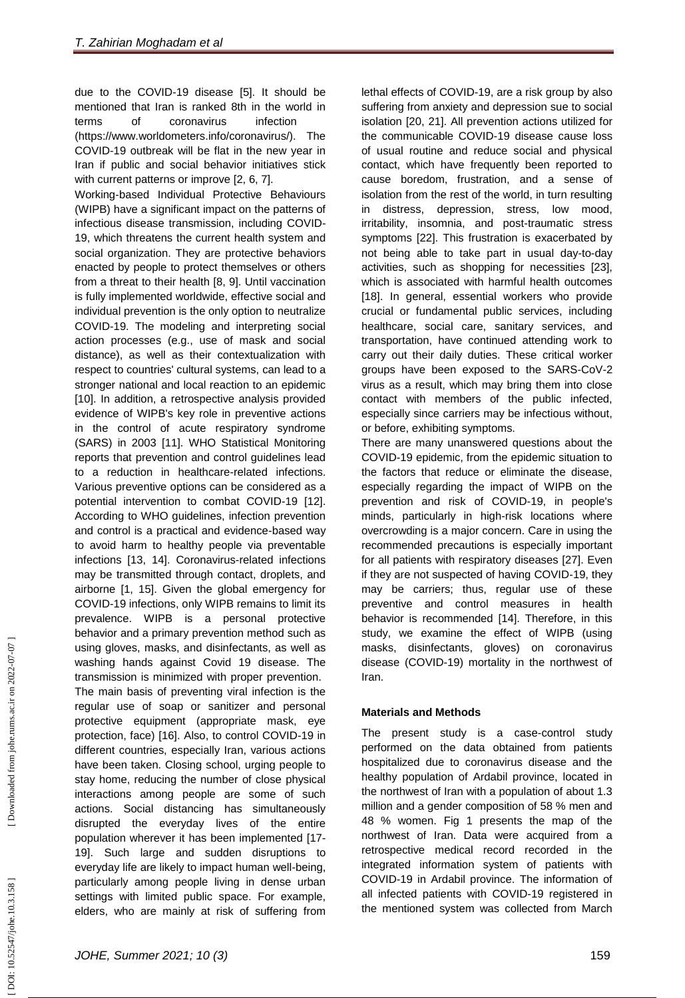due to the COVID -19 disease [5] . It should be mentioned that Iran is ranked 8th in the world in terms of coronavirus infection (https://www.worldometers.info/coronavirus/). The COVID -19 outbreak will be flat in the new year in Iran if public and social behavior initiatives stick with current patterns or improve [2, 6, 7] . Working -based Individual Protective Behaviours

(WIPB) have a significant impact on the patterns of infectious disease transmission, including COVID - 19, which threatens the current health system and social organization. They are protective behaviors enacted by people to protect themselves or others from a threat to their health [8, 9] . Until vaccination is fully implemented worldwide, effective social and individual prevention is the only option to neutralize COVID -19. The modeling and interpreting social action processes (e.g., use of mask and social distance), as well as their contextualization with respect to countries' cultural systems, can lead to a stronger national and local reaction to an epidemic [10]. In addition, a retrospective analysis provided evidence of WIPB's key role in preventive actions in the control of acute respiratory syndrome (SARS) in 2003 [11]. WHO Statistical Monitoring reports that prevention and control guidelines lead to a reduction in healthcare -related infections. Various preventive options can be considered as a potential intervention to combat COVID -19 [12]. According to WHO guidelines, infection prevention and control is a practical and evidence -based way to avoid harm to healthy people via preventable infections [13, 14]. Coronavirus -related infections may be transmitted through contact, droplets, and airborne [1, 15]. Given the global emergency for COVID -19 infections, only WIPB remains to limit its prevalence. WIPB is a personal protective behavior and a primary prevention method such as using gloves, masks, and disinfectants, as well as washing hands against Covid 19 disease. The transmission is minimized with proper prevention.

The main basis of preventing viral infection is the regular use of soap or sanitizer and personal protective equipment (appropriate mask, eye protection, face) [16]. Also, to control COVID -19 in different countries, especially Iran, various actions have been taken. Closing school, urging people to stay home, reducing the number of close physical interactions among people are some of such actions. Social distancing has simultaneously disrupted the everyday lives of the entire population wherever it has been implemented [17 - 19]. Such large and sudden disruptions to everyday life are likely to impact human well -being, particularly among people living in dense urban settings with limited public space. For example, elders, who are mainly at risk of suffering from

lethal effects of COVID -19, are a risk group by also suffering from anxiety and depression sue to social isolation [20, 21]. All prevention actions utilized for the communicable COVID -19 disease cause loss of usual routine and reduce social and physical contact, which have frequently been reported to cause boredom, frustration, and a sense of isolation from the rest of the world, in turn resulting in distress, depression, stress, low mood, irritability, insomnia, and post -traumatic stress symptoms [22]. This frustration is exacerbated by not being able to take part in usual day -to -day activities, such as shopping for necessities [23], which is associated with harmful health outcomes [18]. In general, essential workers who provide crucial or fundamental public services, including healthcare, social care, sanitary services, and transportation, have continued attending work to carry out their daily duties. These critical worker groups have been exposed to the SARS -CoV -2 virus as a result, which may bring them into close contact with members of the public infected, especially since carriers may be infectious without, or before, exhibiting symptoms.

There are many unanswered questions about the COVID -19 epidemic, from the epidemic situation to the factors that reduce or eliminate the disease, especially regarding the impact of WIPB on the prevention and risk of COVID -19, in people's minds, particularly in high -risk locations where overcrowding is a major concern. Care in using the recommended precautions is especially important for all patients with respiratory diseases [27]. Even if they are not suspected of having COVID -19, they may be carriers; thus, regular use of these preventive and control measures in health behavior is recommended [14] . Therefore, in this study, we examine the effect of WIPB (using masks, disinfectants, gloves) on coronavirus disease (COVID -19) mortality in the northwest of Iran.

### **Materials and Methods**

The present study is a case -control study performed on the data obtained from patients hospitalized due to coronavirus disease and the healthy population of Ardabil province, located in the northwest of Iran with a population of about 1.3 million and a gender composition of 58 % men and 48 % women. Fig 1 presents the map of the northwest of Iran. Data were acquired from a retrospective medical record recorded in the integrated information system of patients with COVID -19 in Ardabil province. The information of all infected patients with COVID -19 registered in the mentioned system was collected from March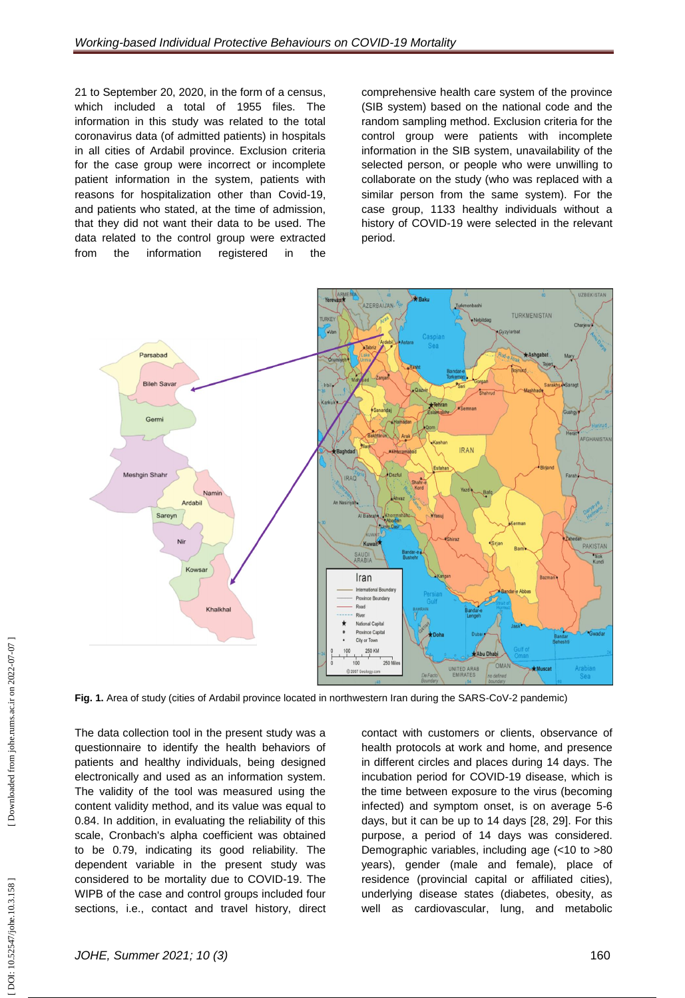21 to September 20, 2020, in the form of a census, which included a total of 1955 files. The information in this study was related to the total coronavirus data (of admitted patients) in hospitals in all cities of Ardabil province. Exclusion criteria for the case group were incorrect or incomplete patient information in the system, patients with reasons for hospitalization other than Covid -19, and patients who stated, at the time of admission, that they did not want their data to be used. The data related to the control group were extracted from the information registered in the

comprehensive health care system of the province (SIB system) based on the national code and the random sampling method. Exclusion criteria for the control group were patients with incomplete information in the SIB system, unavailability of the selected person, or people who were unwilling to collaborate on the study (who was replaced with a similar person from the same system). For the case group, 1133 healthy individuals without a history of COVID -19 were selected in the relevant period.



**Fig. 1.** Area of study (cities of Ardabil province located in northwestern Iran during the SARS-CoV-2 pandemic)

The data collection tool in the present study was a questionnaire to identify the health behaviors of patients and healthy individuals, being designed electronically and used as an information system. The validity of the tool was measured using the content validity method, and its value was equal to 0.84. In addition, in evaluating the reliability of this scale, Cronbach's alpha coefficient was obtained to be 0.79, indicating its good reliability. The dependent variable in the present study was considered to be mortality due to COVID -19. The WIPB of the case and control groups included four sections, i.e., contact and travel history, direct

contact with customers or clients, observance of health protocols at work and home, and presence in different circles and places during 14 days. The incubation period for COVID -19 disease, which is the time between exposure to the virus (becoming infected) and symptom onset, is on average 5 -6 days, but it can be up to 14 days [28, 29]. For this purpose, a period of 14 days was considered. Demographic variables, including age (<10 to >80 years), gender (male and female), place of residence (provincial capital or affiliated cities), underlying disease states (diabetes, obesity, as well as cardiovascular, lung, and metabolic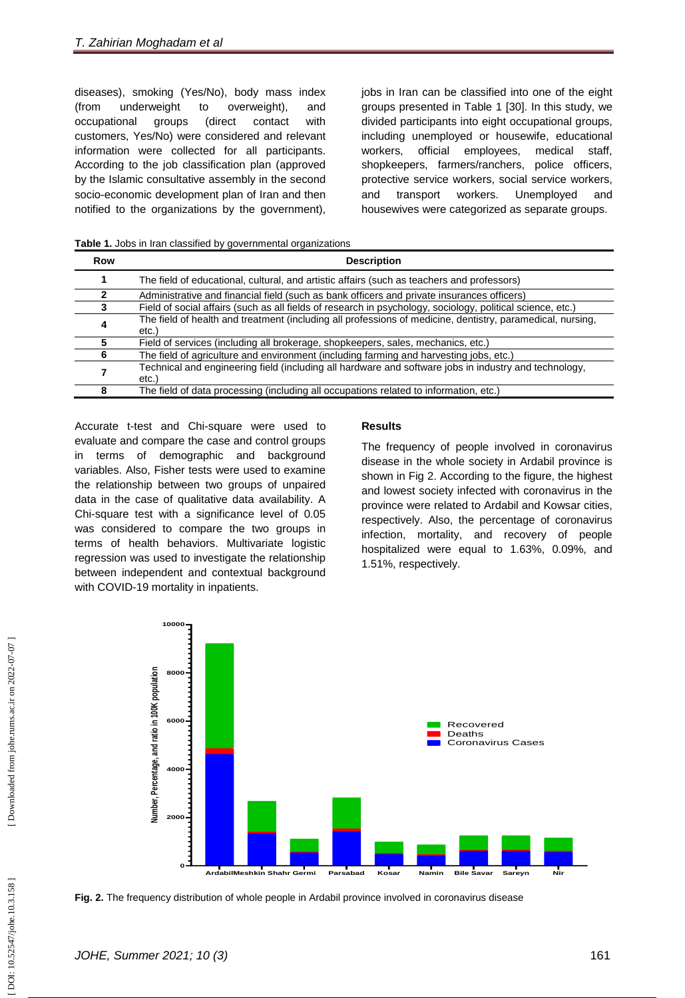diseases), smoking (Yes/No), body mass index (from underweight to overweight), and occupational groups (direct contact with customers, Yes/No) were considered and relevant information were collected for all participants. According to the job classification plan (approved by the Islamic consultative assembly in the second socio -economic development plan of Iran and then notified to the organizations by the government),

jobs in Iran can be classified into one of the eight groups presented in Table 1 [30]. In this study, we divided participants into eight occupational groups, including unemployed or housewife, educational workers, official employees, medical staff, shopkeepers, farmers/ranchers, police officers, protective service workers, social service workers, and transport workers. Unemployed and housewives were categorized as separate groups.

**Table 1.** Jobs in Iran classified by governmental organizations

| Row | <b>Description</b>                                                                                                  |
|-----|---------------------------------------------------------------------------------------------------------------------|
|     | The field of educational, cultural, and artistic affairs (such as teachers and professors)                          |
|     | Administrative and financial field (such as bank officers and private insurances officers)                          |
|     | Field of social affairs (such as all fields of research in psychology, sociology, political science, etc.)          |
| 4   | The field of health and treatment (including all professions of medicine, dentistry, paramedical, nursing,<br>etc.) |
|     | Field of services (including all brokerage, shopkeepers, sales, mechanics, etc.)                                    |
| 6   | The field of agriculture and environment (including farming and harvesting jobs, etc.)                              |
|     | Technical and engineering field (including all hardware and software jobs in industry and technology,<br>etc.       |
| 8   | The field of data processing (including all occupations related to information, etc.)                               |

Accurate t -test and Chi -square were used to evaluate and compare the case and control groups in terms of demographic and background variables. Also, Fisher tests were used to examine the relationship between two groups of unpaired data in the case of qualitative data availability. A Chi -square test with a significance level of 0.05 was considered to compare the two groups in terms of health behaviors. Multivariate logistic regression was used to investigate the relationship between independent and contextual background with COVID -19 mortality in inpatients.

### **Results**

The frequency of people involved in coronavirus disease in the whole society in Ardabil province is shown in Fig 2. According to the figure, the highest and lowest society infected with coronavirus in the province were related to Ardabil and Kowsar cities, respectively. Also, the percentage of coronavirus infection, mortality, and recovery of people hospitalized were equal to 1.63%, 0.09%, and 1.51%, respectively.



**Fig. 2.** The frequency distribution of whole people in Ardabil province involved in coronavirus disease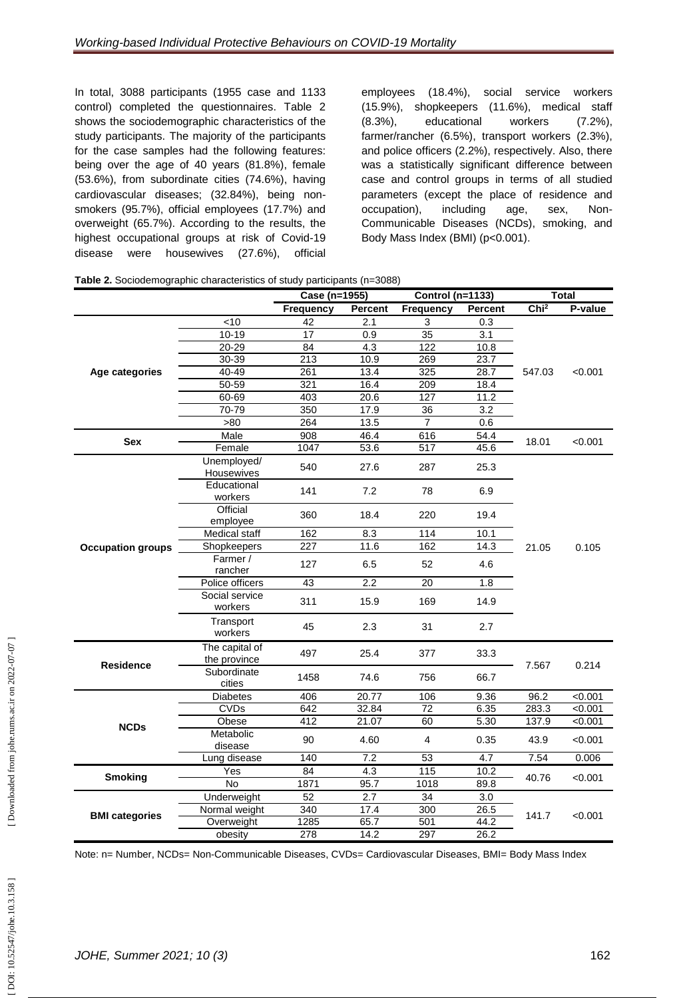In total, 3088 participants (1955 case and 1133 control) completed the questionnaires. Table 2 shows the sociodemographic characteristics of the study participants. The majority of the participants for the case samples had the following features: being over the age of 40 years (81.8%), female (53.6%), from subordinate cities (74.6%), having cardiovascular diseases; (32.84%), being non smokers (95.7%), official employees (17.7%) and overweight (65.7%). According to the results, the highest occupational groups at risk of Covid -19 disease were housewives (27.6%), official

employees (18.4%), social service workers (15.9%), shopkeepers (11.6%), medical staff (8.3%), educational workers (7.2%), farmer/rancher (6.5%), transport workers (2.3%), and police officers (2.2%), respectively. Also, there was a statistically significant difference between case and control groups in terms of all studied parameters (except the place of residence and occupation), including age, sex, Non-Communicable Diseases (NCDs), smoking, and Body Mass Index (BMI) (p<0.001).

|  | Table 2. Sociodemographic characteristics of study participants (n=3088) |  |  |  |  |
|--|--------------------------------------------------------------------------|--|--|--|--|
|--|--------------------------------------------------------------------------|--|--|--|--|

|                          |                                | Case (n=1955)<br><b>Control (n=1133)</b> |                |                  | <b>Total</b>   |                  |         |
|--------------------------|--------------------------------|------------------------------------------|----------------|------------------|----------------|------------------|---------|
|                          |                                | <b>Frequency</b>                         | <b>Percent</b> | <b>Frequency</b> | <b>Percent</b> | Chi <sup>2</sup> | P-value |
|                          | $<$ 10                         | 42                                       | 2.1            | 3                | 0.3            |                  |         |
|                          | $10 - 19$                      | 17                                       | 0.9            | 35               | 3.1            | 547.03           |         |
|                          | 20-29                          | 84                                       | 4.3            | 122              | 10.8           |                  |         |
|                          | 30-39                          | 213                                      | 10.9           | 269              | 23.7           |                  |         |
| Age categories           | 40-49                          | 261                                      | 13.4           | 325              | 28.7           |                  | < 0.001 |
|                          | 50-59                          | 321                                      | 16.4           | 209              | 18.4           |                  |         |
|                          | 60-69                          | 403                                      | 20.6           | 127              | 11.2           |                  |         |
|                          | 70-79                          | 350                                      | 17.9           | 36               | 3.2            |                  |         |
|                          | >80                            | 264                                      | 13.5           | $\overline{7}$   | 0.6            |                  |         |
|                          | Male                           | 908                                      | 46.4           | 616              | 54.4           |                  |         |
| <b>Sex</b>               | Female                         | 1047                                     | 53.6           | 517              | 45.6           | 18.01            | < 0.001 |
|                          | Unemployed/<br>Housewives      | 540                                      | 27.6           | 287              | 25.3           |                  | 0.105   |
|                          | Educational<br>workers         | 141                                      | 7.2            | 78               | 6.9            |                  |         |
|                          | Official<br>employee           | 360                                      | 18.4           | 220              | 19.4           | 21.05            |         |
|                          | Medical staff                  | 162                                      | 8.3            | 114              | 10.1           |                  |         |
| <b>Occupation groups</b> | Shopkeepers                    | 227                                      | 11.6           | 162              | 14.3           |                  |         |
|                          | Farmer /<br>rancher            | 127                                      | 6.5            | 52               | 4.6            |                  |         |
|                          | Police officers                | 43                                       | 2.2            | 20               | 1.8            |                  |         |
|                          | Social service<br>workers      | 311                                      | 15.9           | 169              | 14.9           |                  |         |
|                          | Transport<br>workers           | 45                                       | 2.3            | 31               | 2.7            |                  |         |
| <b>Residence</b>         | The capital of<br>the province | 497                                      | 25.4           | 377              | 33.3           | 7.567            |         |
|                          | Subordinate<br>cities          | 1458                                     | 74.6           | 756              | 66.7           |                  | 0.214   |
|                          | <b>Diabetes</b>                | 406                                      | 20.77          | 106              | 9.36           | 96.2             | < 0.001 |
|                          | <b>CVDs</b>                    | 642                                      | 32.84          | 72               | 6.35           | 283.3            | < 0.001 |
| <b>NCDs</b>              | Obese                          | 412                                      | 21.07          | 60               | 5.30           | 137.9            | < 0.001 |
|                          | Metabolic<br>disease           | 90                                       | 4.60           | 4                | 0.35           | 43.9             | < 0.001 |
|                          | Lung disease                   | 140                                      | 7.2            | 53               | 4.7            | 7.54             | 0.006   |
|                          | Yes                            | 84                                       | 4.3            | 115              | 10.2           |                  | < 0.001 |
| <b>Smoking</b>           | <b>No</b>                      | 1871                                     | 95.7           | 1018             | 89.8           | 40.76            |         |
|                          | Underweight                    | 52                                       | 2.7            | 34               | 3.0            |                  |         |
|                          | Normal weight                  | 340                                      | 17.4           | 300              | 26.5           | 141.7            |         |
| <b>BMI categories</b>    | Overweight                     | 1285                                     | 65.7           | 501              | 44.2           |                  | < 0.001 |
|                          | obesity                        | 278                                      | 14.2           | 297              | 26.2           |                  |         |

Note: n= Number, NCDs= Non-Communicable Diseases, CVDs= Cardiovascular Diseases, BMI= Body Mass Index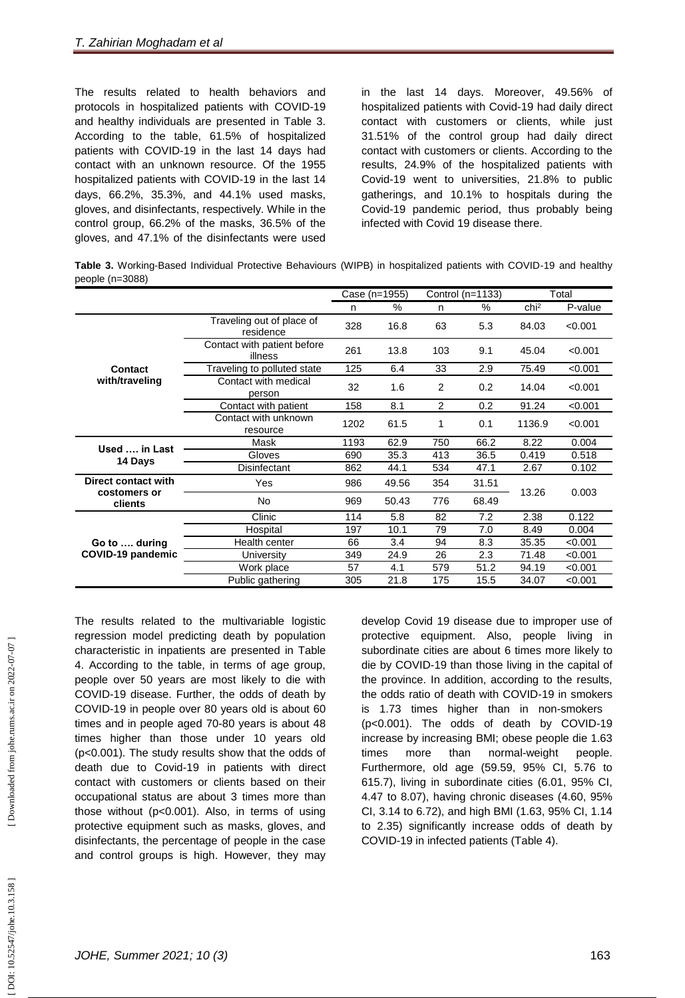The results related to health behaviors and protocols in hospitalized patients with COVID -19 and healthy individuals are presented in Table 3. According to the table, 61.5% of hospitalized patients with COVID -19 in the last 14 days had contact with an unknown resource. Of the 1955 hospitalized patients with COVID -19 in the last 14 days, 66.2%, 35.3%, and 44.1% used masks, gloves, and disinfectants, respectively. While in the control group, 66.2% of the masks, 36.5% of the gloves, and 47.1% of the disinfectants were used

in the last 14 days. Moreover, 49.56% of hospitalized patients with Covid -19 had daily direct contact with customers or clients, while just 31.51% of the control group had daily direct contact with customers or clients. According to the results, 24.9% of the hospitalized patients with Covid -19 went to universities, 21.8% to public gatherings, and 10.1% to hospitals during the Covid -19 pandemic period, thus probably being infected with Covid 19 disease there.

Table 3. Working-Based Individual Protective Behaviours (WIPB) in hospitalized patients with COVID-19 and healthy people (n=3088)

|                                     |                                        | Case (n=1955) |       | Control (n=1133) |       | Total            |         |
|-------------------------------------|----------------------------------------|---------------|-------|------------------|-------|------------------|---------|
|                                     |                                        | n             | %     | n                | %     | chi <sup>2</sup> | P-value |
|                                     | Traveling out of place of<br>residence | 328           | 16.8  | 63               | 5.3   | 84.03            | < 0.001 |
|                                     | Contact with patient before<br>illness | 261           | 13.8  | 103              | 9.1   | 45.04            | < 0.001 |
| <b>Contact</b>                      | Traveling to polluted state            | 125           | 6.4   | 33               | 2.9   | 75.49            | < 0.001 |
| with/traveling                      | Contact with medical<br>person         | 32            | 1.6   | $\overline{2}$   | 0.2   | 14.04            | < 0.001 |
|                                     | Contact with patient                   | 158           | 8.1   | 2                | 0.2   | 91.24            | < 0.001 |
|                                     | Contact with unknown<br>resource       | 1202          | 61.5  | 1                | 0.1   | 1136.9           | < 0.001 |
| Used  in Last                       | Mask                                   | 1193          | 62.9  | 750              | 66.2  | 8.22             | 0.004   |
| 14 Days                             | Gloves                                 | 690           | 35.3  | 413              | 36.5  | 0.419            | 0.518   |
|                                     | Disinfectant                           | 862           | 44.1  | 534              | 47.1  | 2.67             | 0.102   |
| Direct contact with<br>costomers or | Yes                                    | 986           | 49.56 | 354              | 31.51 | 13.26            | 0.003   |
| clients                             | No                                     | 969           | 50.43 | 776              | 68.49 |                  |         |
|                                     | Clinic                                 | 114           | 5.8   | 82               | 7.2   | 2.38             | 0.122   |
|                                     | Hospital                               | 197           | 10.1  | 79               | 7.0   | 8.49             | 0.004   |
| Go to  during                       | Health center                          | 66            | 3.4   | 94               | 8.3   | 35.35            | < 0.001 |
| COVID-19 pandemic                   | University                             | 349           | 24.9  | 26               | 2.3   | 71.48            | < 0.001 |
|                                     | Work place                             | 57            | 4.1   | 579              | 51.2  | 94.19            | < 0.001 |
|                                     | Public gathering                       | 305           | 21.8  | 175              | 15.5  | 34.07            | < 0.001 |

The results related to the multivariable logistic regression model predicting death by population characteristic in inpatients are presented in Table 4. According to the table, in terms of age group, people over 50 years are most likely to die with COVID -19 disease. Further, the odds of death by COVID -19 in people over 80 years old is about 60 times and in people aged 70 -80 years is about 48 times higher than those under 10 years old (p<0.001). The study results show that the odds of death due to Covid -19 in patients with direct contact with customers or clients based on their occupational status are about 3 times more than those without (p<0.001). Also, in terms of using protective equipment such as masks, gloves, and disinfectants, the percentage of people in the case and control groups is high. However, they may

develop Covid 19 disease due to improper use of protective equipment. Also, people living in subordinate cities are about 6 times more likely to die by COVID -19 than those living in the capital of the province. In addition, according to the results, the odds ratio of death with COVID -19 in smokers is 1.73 times higher than in non -smokers (p<0.001). The odds of death by COVID -19 increase by increasing BMI; obese people die 1.63 times more than normal-weight people. Furthermore, old age (59.59, 95% CI, 5.76 to 615.7), living in subordinate cities (6.01, 95% CI, 4.47 to 8.07), having chronic diseases (4.60, 95% CI, 3.14 to 6.72), and high BMI (1.63, 95% CI, 1.14 to 2.35) significantly increase odds of death by COVID -19 in infected patients (Table 4).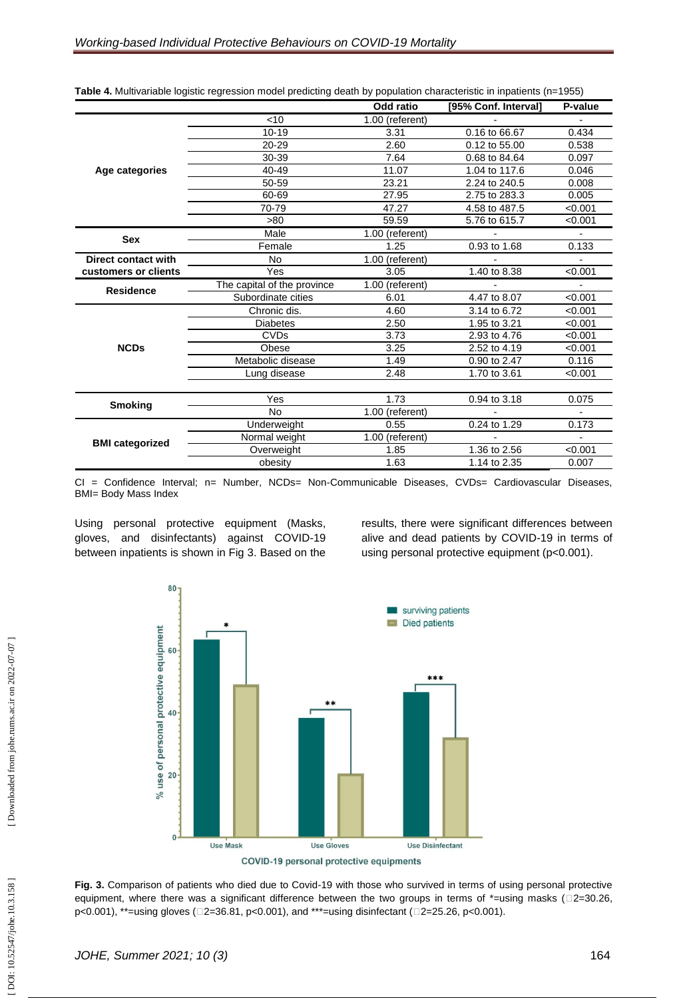|                            |                             | Odd ratio              | [95% Conf. Interval] | P-value                  |  |
|----------------------------|-----------------------------|------------------------|----------------------|--------------------------|--|
|                            | $<$ 10                      | 1.00 (referent)        |                      |                          |  |
|                            | $10 - 19$                   | 3.31                   | 0.16 to 66.67        | 0.434                    |  |
|                            | $20 - 29$                   | 2.60                   | 0.12 to 55.00        | 0.538                    |  |
|                            | 30-39                       | 7.64                   | 0.68 to 84.64        | 0.097                    |  |
| Age categories             | 40-49                       | 11.07                  |                      | 0.046                    |  |
|                            | 50-59                       | 23.21                  | 2.24 to 240.5        | 0.008                    |  |
|                            | 60-69                       | 27.95<br>2.75 to 283.3 |                      | 0.005                    |  |
|                            | 70-79                       | 47.27                  | 4.58 to 487.5        | < 0.001                  |  |
|                            | >80                         | 59.59                  | 5.76 to 615.7        | < 0.001                  |  |
| <b>Sex</b>                 | Male                        | 1.00 (referent)        |                      |                          |  |
|                            | Female                      | 1.25                   | 0.93 to 1.68         | 0.133                    |  |
| <b>Direct contact with</b> | <b>No</b>                   | 1.00 (referent)        |                      | $\overline{\phantom{0}}$ |  |
| customers or clients       | Yes                         | 3.05                   | 1.40 to 8.38         | < 0.001                  |  |
| <b>Residence</b>           | The capital of the province | 1.00 (referent)        |                      |                          |  |
|                            | Subordinate cities          | 6.01                   | 4.47 to 8.07         | < 0.001                  |  |
|                            | Chronic dis.                | 4.60                   | 3.14 to 6.72         | < 0.001                  |  |
|                            | <b>Diabetes</b>             | 2.50                   | 1.95 to 3.21         | < 0.001                  |  |
|                            | <b>CVDs</b>                 | 3.73                   | 2.93 to 4.76         | < 0.001                  |  |
| <b>NCDs</b>                | Obese                       | 3.25                   | 2.52 to 4.19         | < 0.001                  |  |
|                            | Metabolic disease           | 1.49                   | 0.90 to 2.47         | 0.116                    |  |
|                            | Lung disease                | 2.48                   | 1.70 to 3.61         | < 0.001                  |  |
|                            |                             |                        |                      |                          |  |
| <b>Smoking</b>             | Yes                         | 1.73                   | 0.94 to 3.18         | 0.075                    |  |
|                            | <b>No</b>                   | $1.00$ (referent)      |                      |                          |  |
|                            | Underweight                 | 0.55                   | 0.24 to 1.29         | 0.173                    |  |
| <b>BMI</b> categorized     | Normal weight               | 1.00 (referent)        | $\blacksquare$       | $\mathbf{r}$             |  |
|                            | Overweight                  | 1.85                   | 1.36 to 2.56         | < 0.001                  |  |
|                            | obesity                     | 1.63                   | 1.14 to 2.35         | 0.007                    |  |

**Table 4.** Multivariable logistic regression model predicting death by population characteristic in inpatients (n=1955)

CI = Confidence Interval; n= Number, NCDs= Non -Communicable Diseases, CVDs= Cardiovascular Diseases, BMI= Body Mass Index

Using personal protective equipment (Masks, gloves, and disinfectants) against COVID -19 between inpatients is shown in Fig 3. Based on the

results, there were significant differences between alive and dead patients by COVID -19 in terms of using personal protective equipment (p<0.001).



**COVID-19 personal protective equipments** 

Fig. 3. Comparison of patients who died due to Covid-19 with those who survived in terms of using personal protective equipment, where there was a significant difference between the two groups in terms of \*=using masks ( $\square$ 2=30.26, p<0.001), \*\*=using gloves (□2=36.81, p<0.001), and \*\*\*=using disinfectant (□2=25.26, p<0.001).

DOI: 10.52547/johe.10.3.158]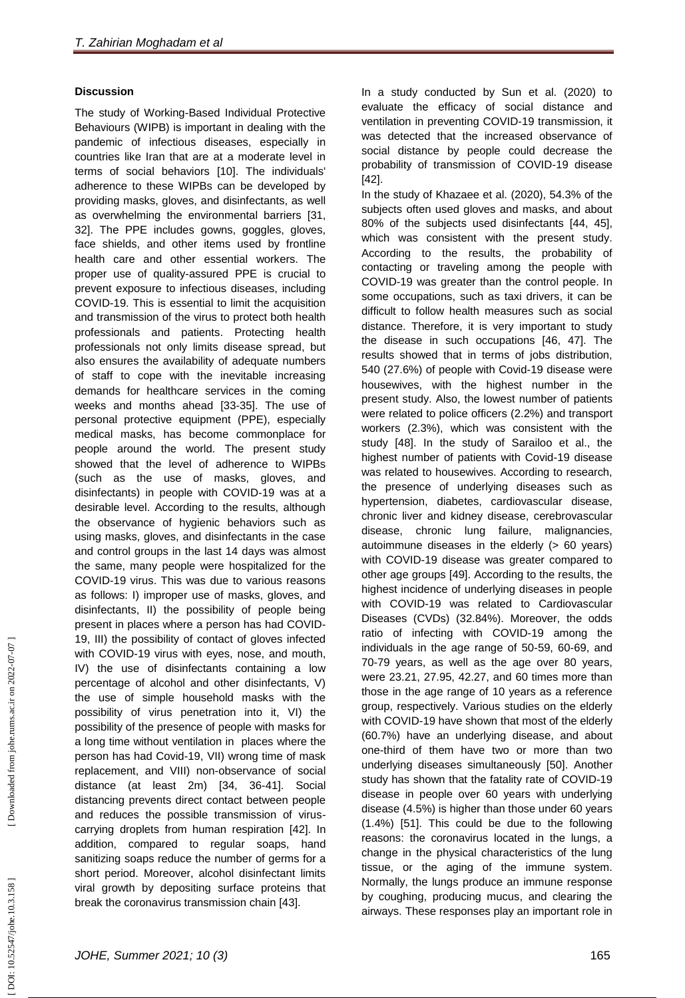### **Discussion**

The study of Working -Based Individual Protective Behaviours (WIPB) is important in dealing with the pandemic of infectious diseases, especially in countries like Iran that are at a moderate level in terms of social behaviors [10]. The individuals' adherence to these WIPBs can be developed by providing masks, gloves, and disinfectants, as well as overwhelming the environmental barriers [31, 32]. The PPE includes gowns, goggles, gloves, face shields, and other items used by frontline health care and other essential workers. The proper use of quality -assured PPE is crucial to prevent exposure to infectious diseases, including COVID -19. This is essential to limit the acquisition and transmission of the virus to protect both health professionals and patients. Protecting health professionals not only limits disease spread, but also ensures the availability of adequate numbers of staff to cope with the inevitable increasing demands for healthcare services in the coming weeks and months ahead [33 -35]. The use of personal protective equipment (PPE), especially medical masks, has become commonplace for people around the world. The present study showed that the level of adherence to WIPBs (such as the use of masks, gloves, and disinfectants) in people with COVID -19 was at a desirable level. According to the results, although the observance of hygienic behaviors such as using masks, gloves, and disinfectants in the case and control groups in the last 14 days was almost the same, many people were hospitalized for the COVID -19 virus. This was due to various reasons as follows: I) improper use of masks, gloves, and disinfectants, II) the possibility of people being present in places where a person has had COVID - 19, III) the possibility of contact of gloves infected with COVID -19 virus with eyes, nose, and mouth, IV) the use of disinfectants containing a low percentage of alcohol and other disinfectants, V) the use of simple household masks with the possibility of virus penetration into it, VI) the possibility of the presence of people with masks for a long time without ventilation in places where the person has had Covid -19, VII) wrong time of mask replacement, and VIII) non -observance of social distance (at least 2m) [34, 36 -41]. Social distancing prevents direct contact between people and reduces the possible transmission of virus carrying droplets from human respiration [42]. In addition, compared to regular soaps, hand sanitizing soaps reduce the number of germs for a short period. Moreover, alcohol disinfectant limits viral growth by depositing surface proteins that break the coronavirus transmission chain [43] .

In a study conducted by Sun et al. (2020) to evaluate the efficacy of social distance and ventilation in preventing COVID -19 transmission, it was detected that the increased observance of social distance by people could decrease the probability of transmission of COVID -19 disease [42] .

In the study of Khazaee et al. (2020), 54.3% of the subjects often used gloves and masks, and about 80% of the subjects used disinfectants [44, 45], which was consistent with the present study. According to the results, the probability of contacting or traveling among the people with COVID -19 was greater than the control people. In some occupations, such as taxi drivers, it can be difficult to follow health measures such as social distance. Therefore, it is very important to study the disease in such occupations [46, 47]. The results showed that in terms of jobs distribution, 540 (27.6%) of people with Covid -19 disease were housewives, with the highest number in the present study. Also, the lowest number of patients were related to police officers (2.2%) and transport workers (2.3%), which was consistent with the study [48]. In the study of Sarailoo et al., the highest number of patients with Covid -19 disease was related to housewives. According to research, the presence of underlying diseases such as hypertension, diabetes, cardiovascular disease, chronic liver and kidney disease, cerebrovascular disease, chronic lung failure, malignancies, autoimmune diseases in the elderly (> 60 years) with COVID -19 disease was greater compared to other age groups [49]. According to the results, the highest incidence of underlying diseases in people with COVID -19 was related to Cardiovascular Diseases (CVDs) (32.84%). Moreover, the odds ratio of infecting with COVID -19 among the individuals in the age range of 50 -59, 60 -69, and 70 -79 years, as well as the age over 80 years, were 23.21, 27.95, 42.27, and 60 times more than those in the age range of 10 years as a reference group, respectively. Various studies on the elderly with COVID -19 have shown that most of the elderly (60.7%) have an underlying disease, and about one -third of them have two or more than two underlying diseases simultaneously [50]. Another study has shown that the fatality rate of COVID -19 disease in people over 60 years with underlying disease (4.5%) is higher than those under 60 years (1.4%) [51]. This could be due to the following reasons: the coronavirus located in the lungs, a change in the physical characteristics of the lung tissue, or the aging of the immune system. Normally, the lungs produce an immune response by coughing, producing mucus, and clearing the airways. These responses play an important role in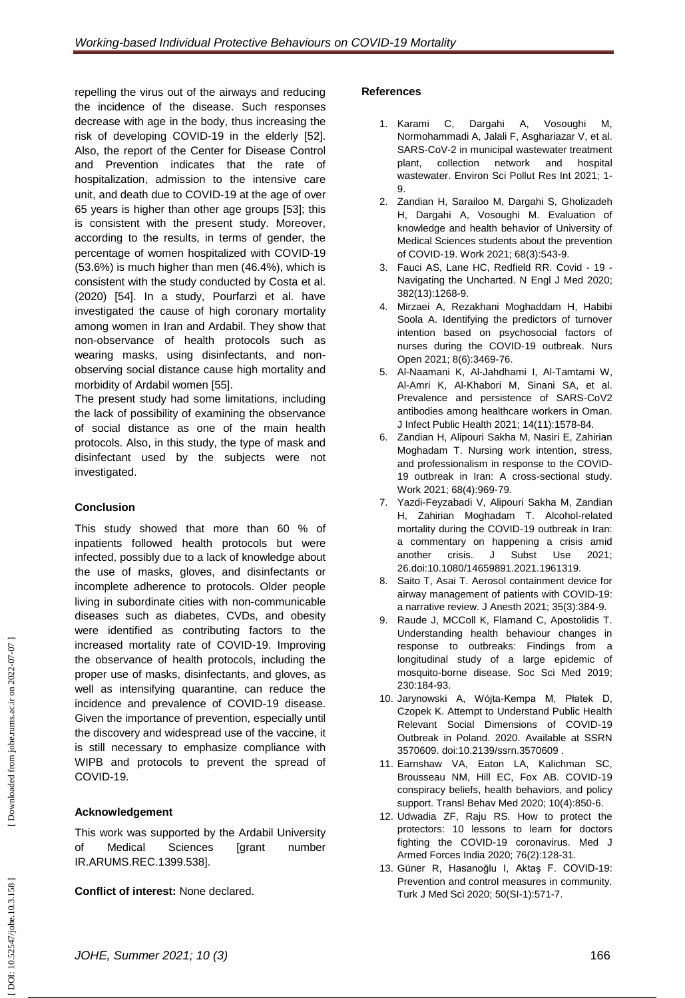repelling the virus out of the airways and reducing the incidence of the disease. Such responses decrease with age in the body, thus increasing the risk of developing COVID -19 in the elderly [52]. Also, the report of the Center for Disease Control and Prevention indicates that the rate of hospitalization, admission to the intensive care unit, and death due to COVID -19 at the age of over 65 years is higher than other age groups [53]; this is consistent with the present study. Moreover, according to the results, in terms of gender, the percentage of women hospitalized with COVID -19 (53.6%) is much higher than men (46.4%), which is consistent with the study conducted by Costa et al. (2020) [54]. In a study, Pourfarzi et al. have investigated the cause of high coronary mortality among women in Iran and Ardabil. They show that non -observance of health protocols such as wearing masks, using disinfectants, and non observing social distance cause high mortality and morbidity of Ardabil women [55] .

The present study had some limitations, including the lack of possibility of examining the observance of social distance as one of the main health protocols. Also, in this study, the type of mask and disinfectant used by the subjects were not investigated.

## **Conclusion**

This study showed that more than 60 % of inpatients followed health protocols but were infected, possibly due to a lack of knowledge about the use of masks, gloves, and disinfectants or incomplete adherence to protocols. Older people living in subordinate cities with non -communicable diseases such as diabetes, CVDs, and obesity were identified as contributing factors to the increased mortality rate of COVID -19. Improving the observance of health protocols, including the proper use of masks, disinfectants, and gloves, as well as intensifying quarantine, can reduce the incidence and prevalence of COVID -19 disease. Given the importance of prevention, especially until the discovery and widespread use of the vaccine, it is still necessary to emphasize compliance with WIPB and protocols to prevent the spread of COVID -19.

### **Acknowledgement**

This work was supported by the Ardabil University of Medical Sciences [grant number IR.ARUMS.REC.1399.538].

**Conflict of interest:** None declared.

### **References**

- 1. Karami C, Dargahi A, Vosoughi M, Normohammadi A, Jalali F, Asghariazar V, et al. SARS -CoV -2 in municipal wastewater treatment plant, collection network and hospital wastewater. Environ Sci Pollut Res Int 2021; 1 - 9.
- 2 . Zandian H, Sarailoo M, Dargahi S, Gholizadeh H, Dargahi A, Vosoughi M. Evaluation of knowledge and health behavior of University of Medical Sciences students about the prevention of COVID -19. Work 2021; 68(3):543 -9.
- 3 . Fauci AS, Lane HC, Redfield RR. Covid 19 Navigating the Uncharted. N Engl J Med 2020; 382(13):1268 -9.
- 4 . Mirzaei A, Rezakhani Moghaddam H, Habibi Soola A. Identifying the predictors of turnover intention based on psychosocial factors of nurses during the COVID ‐19 outbreak. Nurs Open 2021; 8(6):3469 -76.
- 5 . Al -Naamani K, Al -Jahdhami I, Al -Tamtami W, Al -Amri K, Al -Khabori M, Sinani S A, et al. Prevalence and persistence of SARS -CoV2 antibodies among healthcare workers in Oman. J Infect Public Health 2021; 14(11):1578-84.
- 6 . Zandian H, Alipouri Sakha M, Nasiri E, Zahirian Moghadam T. Nursing work intention, stress, and professionalism in response to the COVID - 19 outbreak in Iran: A cross -sectional study. Work 2021; 68(4):969 -79.
- 7 . Yazdi -Feyzabadi V, Alipouri Sakha M, Zandian H, Zahirian Moghadam T. Alcohol -related mortality during the COVID -19 outbreak in Iran: a commentary on happening a crisis amid another crisis. J Subst Use 2021; 26.doi[:10.1080/14659891.2021.1961319](https://doi.org/10.1080/14659891.2021.1961319) .
- 8 . Saito T, Asai T. Aerosol containment device for airway management of patients with COVID -19: a narrative review. J Anesth 2021; 35(3):384 -9.
- 9 . Raude J, MCColl K, Flamand C, Apostolidis T. Understanding health behaviour changes in response to outbreaks: Findings from a longitudinal study of a large epidemic of mosquito - borne disease. Soc Sci Med 2019; 230:184 -93.
- 10 . Jarynowski A, Wójta -Kempa M, Płatek D, Czopek K. Attempt to Understand Public Health Relevant Social Dimensions of COVID -19 Outbreak in Poland. 2020. Available at SSRN 3570609. doi[:10.2139/ssrn.3570609](https://dx.doi.org/10.2139/ssrn.3570609)  .
- 11 . Earnshaw VA, Eaton LA, Kalichman SC, Brousseau NM, Hill EC, Fox AB. COVID -19 conspiracy beliefs, health behaviors, and policy support. Transl Behav Med 2020; 10(4):850 -6.
- 12 . Udwadia ZF, Raju RS. How to protect the protectors: 10 lessons to learn for doctors fighting the COVID -19 coronavirus. Med J Armed Forces India 2020; 76(2):128 -31.
- 13 . Güner R, Hasanoğlu I, Aktaş F. COVID -19: Prevention and control measures in community. Turk J Med Sci 2020; 50(SI -1):571 -7.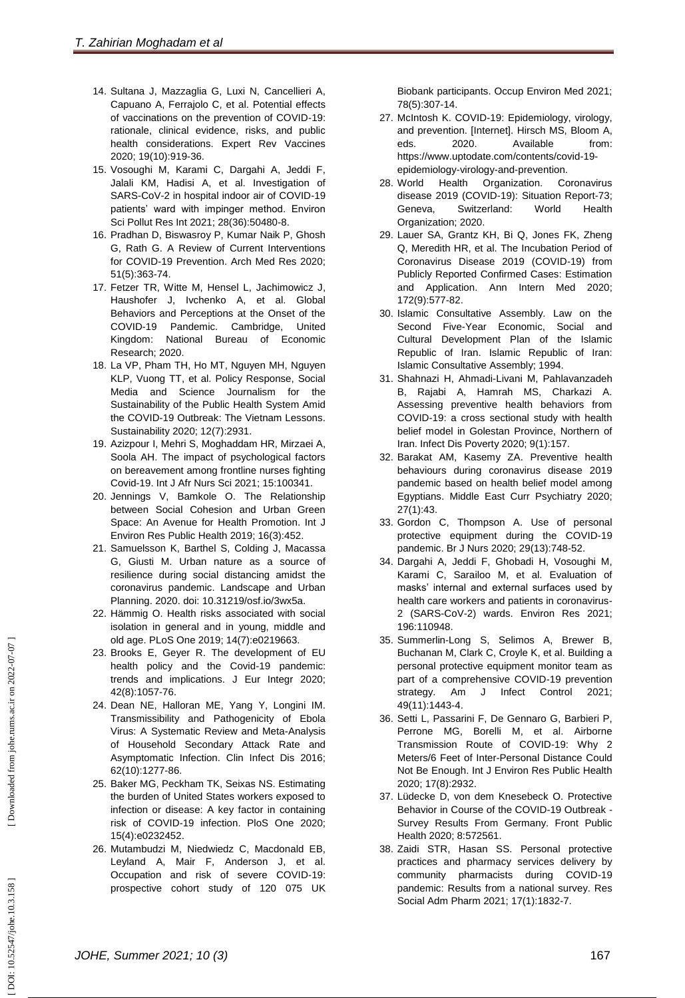- 14 . Sultana J, Mazzaglia G, Luxi N, Cancellieri A, Capuano A, Ferrajolo C, et al. Potential effects of vaccinations on the prevention of COVID - 19: rationale, clinical evidence, risks, and public health considerations. Expert Rev Vaccines 2020; 19(10):919 -36.
- 15 . Vosoughi M, Karami C, Dargahi A, Jeddi F, Jalali KM, Hadisi A, et al. Investigation of SARS -CoV -2 in hospital indoor air of COVID -19 patients' ward with impinger method. Environ Sci Pollut Res Int 2021; 28(36):50480 -8.
- 16 . Pradhan D, Biswasroy P, Kumar Naik P, Ghosh G, Rath G. A Review of Current Interventions for COVID -19 Prevention. Arch Med Res 2020; 51(5):363 -74.
- 17 . Fetzer TR, Witte M, Hensel L, Jachimowicz J, Haushofer J, Ivchenko A, et al. Global Behaviors and Perceptions at the Onset of the COVID-19 Pandemic. Cambridge, United [Kingdom:](https://www.google.com/search?sxsrf=AOaemvLXWmzsC0Z8K7IjnB8Y34fkwmlPrg:1637571600980&q=Cambridge&stick=H4sIAAAAAAAAAOPgE-LQz9U3MC9JN1ECsyzNLYq0VLOTrfTzi9IT8zKrEksy8_NQOFZp-aV5Kakpi1g5nRNzk4oyU9JTd7AyAgCod0PbTAAAAA&sa=X&ved=2ahUKEwix68fMzav0AhX0Q_EDHQwyCCwQmxMoAXoECGQQAw) National Bureau of Economic Research; 2020.
- 18 . La VP, Pham TH, Ho MT, Nguyen MH, Nguyen KLP, Vuong TT, et al. Policy Response, Social Media and Science Journalism for the Sustainability of the Public Health System Amid the COVID -19 Outbreak: The Vietnam Lessons. Sustainability 2020; 12(7):2931.
- 19 . Azizpour I, Mehri S, Moghaddam HR, Mirzaei A, Soola AH. The impact of psychological factors on bereavement among frontline nurses fighting Covid -19. Int J Afr Nurs Sci 2021; 15:100341.
- 20 . Jennings V, Bamkole O. The Relationship between Social Cohesion and Urban Green Space: An Avenue for Health Promotion. Int J Environ Res Public Health 2019; 16(3):452.
- 21 . Samuelsson K, Barthel S, Colding J, Macassa G, Giusti M. Urban nature as a source of resilience during social distancing amidst the coronavirus pandemic. Landscape and Urban Planning. 2020. doi: 10.31219/osf.io/3wx5a.
- 22 . Hämmig O. Health risks associated with social isolation in general and in young, middle and old age. PLoS One 2019; 14(7):e0219663.
- 23 . Brooks E, Geyer R. The development of EU health policy and the Covid -19 pandemic: trends and implications. J Eur Integr 2020; 42(8):1057 -76.
- 24 . Dean NE, Halloran ME, Yang Y, Longini IM. Transmissibility and Pathogenicity of Ebola Virus: A Systematic Review and Meta -Analysis of Household Secondary Attack Rate and Asymptomatic Infection. Clin Infect Dis 2016; 62(10):1277 -86.
- 25 . Baker MG, Peckham TK, Seixas NS. Estimating the burden of United States workers exposed to infection or disease: A key factor in containing risk of COVID -19 infection. PloS One 2020; 15(4):e0232452.
- 26 . Mutambudzi M, Niedwiedz C, Macdonald EB, Leyland A, Mair F, Anderson J, et al. Occupation and risk of severe COVID -19: prospective cohort study of 120 075 UK

Biobank participants. Occup Environ Med 2021; 78(5):307 -14.

- 27 . McIntosh K. COVID -19: Epidemiology, virology, and prevention. [Internet]. Hirsch MS, Bloom A, eds. 2020. Available from: https://www.uptodate.com/contents/covid -19 epidemiology-virology-and-prevention.
- 28. World Health Organization. Coronavirus disease 2019 (COVID -19): Situation Report -73; [Geneva, Switzerland:](https://www.google.com/search?sxsrf=AOaemvLSVpq90PCKHkbsQ_hvcJEul1HT-g:1637572770977&q=Geneva&stick=H4sIAAAAAAAAAOPgE-LQz9U3sDAxKFcCs4wtDYy0tLKTrfTzi9IT8zKrEksy8_NQOFYZqYkphaWJRSWpRcWLWNncU_NSyxJ3sDICAOSE_QdOAAAA&sa=X&ved=2ahUKEwjg3rr60av0AhUTSvEDHfduCEoQmxMoAXoECEcQAw) World Health Organization; 2020.
- 29 . Lauer SA, Grantz KH, Bi Q, Jones FK, Zheng Q, Meredith HR, et al. The Incubation Period of Coronavirus Disease 2019 (COVID -19) from Publicly Reported Confirmed Cases: Estimation and Application. Ann Intern Med 2020; 172(9):577 -82.
- 30 . Islamic Consultative Assembly. Law on the Second Five -Year Economic, Social and Cultural Development Plan of the Islamic Republic of Iran. Islamic Republic of Iran: Islamic Consultative Assembly; 1994.
- 31 . Shahnazi H, Ahmadi -Livani M, Pahlavanzadeh B, Rajabi A, Hamrah MS, Charkazi A. Assessing preventive health behaviors from COVID -19: a cross sectional study with health belief model in Golestan Province, Northern of Iran. Infect Dis Poverty 2020; 9(1):157.
- 32 . Barakat AM, Kasemy ZA. Preventive health behaviours during coronavirus disease 2019 pandemic based on health belief model among Egyptians. Middle East Curr Psychiatry 2020; 27(1):43.
- 33 . Gordon C, Thompson A. Use of personal protective equipment during the COVID -19 pandemic. Br J Nurs 2020; 29(13):748 -52.
- 34 . Dargahi A, Jeddi F, Ghobadi H, Vosoughi M, Karami C, Sarailoo M, et al. Evaluation of masks' internal and external surfaces used by health care workers and patients in coronavirus - 2 (SARS -CoV -2) wards. Environ Res 2021; 196:110948.
- 35 . Summerlin -Long S, Selimos A, Brewer B, Buchanan M, Clark C, Croyle K, et al. Building a personal protective equipment monitor team as part of a comprehensive COVID -19 prevention strategy. Am J Infect Control 2021; 49(11):1443 -4.
- 36 . Setti L, Passarini F, De Gennaro G, Barbieri P, Perrone MG, Borelli M, et al. Airborne Transmission Route of COVID -19: Why 2 Meters/6 Feet of Inter -Personal Distance Could Not Be Enough. Int J Environ Res Public Health 2020; 17(8):2932.
- 37 . Lüdecke D, von dem Knesebeck O. Protective Behavior in Course of the COVID -19 Outbreak - Survey Results From Germany. Front Public Health 2020; 8:572561.
- 38 . Zaidi STR, Hasan SS. Personal protective practices and pharmacy services delivery by community pharmacists during COVID -19 pandemic: Results from a national survey. Res Social Adm Pharm 2021; 17(1):1832 -7.

DOI: 10.52547/johe.10.3.158]